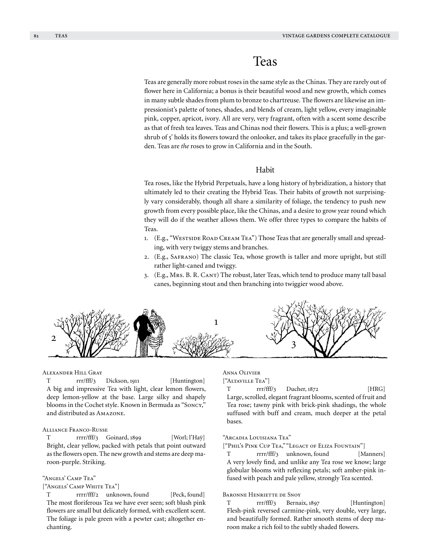# Teas

Teas are generally more robust roses in the same style as the Chinas. They are rarely out of flower here in California; a bonus is their beautiful wood and new growth, which comes in many subtle shades from plum to bronze to chartreuse. The flowers are likewise an impressionist's palette of tones, shades, and blends of cream, light yellow, every imaginable pink, copper, apricot, ivory. All are very, very fragrant, often with a scent some describe as that of fresh tea leaves. Teas and Chinas nod their flowers. This is a plus; a well-grown shrub of 5' holds its flowers toward the onlooker, and takes its place gracefully in the garden. Teas are *the* roses to grow in California and in the South.

# Habit

Tea roses, like the Hybrid Perpetuals, have a long history of hybridization, a history that ultimately led to their creating the Hybrid Teas. Their habits of growth not surprisingly vary considerably, though all share a similarity of foliage, the tendency to push new growth from every possible place, like the Chinas, and a desire to grow year round which they will do if the weather allows them. We offer three types to compare the habits of Teas.

- 1. (E.g., "Westside Road Cream Tea") Those Teas that are generally small and spreading, with very twiggy stems and branches.
- 2. (E.g., Safrano) The classic Tea, whose growth is taller and more upright, but still rather light-caned and twiggy.
- 3. (E.g., Mrs. B. R. Cant) The robust, later Teas, which tend to produce many tall basal canes, beginning stout and then branching into twiggier wood above.



### Alexander Hill Gray

T rrr/fff/3 Dickson, 1911 [Huntington] A big and impressive Tea with light, clear lemon flowers, deep lemon-yellow at the base. Large silky and shapely blooms in the Cochet style. Known in Bermuda as "Soncy," and distributed as Amazone.

### Alliance Franco-Russe

T rrr/fff/3 Goinard, 1899 [Worl; l'Haÿ] Bright, clear yellow, packed with petals that point outward as the flowers open. The new growth and stems are deep maroon-purple. Striking.

#### "Angels' Camp Tea"

# ["Angels' Camp White Tea"]

T rrrr/fff/2 unknown, found [Peck, found] The most floriferous Tea we have ever seen; soft blush pink flowers are small but delicately formed, with excellent scent. The foliage is pale green with a pewter cast; altogether enchanting.

# Anna Olivier

["Altaville Tea"] T rrr/fff/3 Ducher, 1872 [HRG] Large, scrolled, elegant fragrant blooms, scented of fruit and Tea rose; tawny pink with brick-pink shadings, the whole suffused with buff and cream, much deeper at the petal bases.

# "Arcadia Louisiana Tea"

["Phil's Pink Cup Tea," "Legacy of Eliza Fountain"]

T rrrr/fff/3 unknown, found [Manners] A very lovely find, and unlike any Tea rose we know; large globular blooms with reflexing petals; soft amber-pink infused with peach and pale yellow, strongly Tea scented.

# Baronne Henriette de Snoy

T rrr/fff/3 Bernaix, 1897 [Huntington] Flesh-pink reversed carmine-pink, very double, very large, and beautifully formed. Rather smooth stems of deep maroon make a rich foil to the subtly shaded flowers.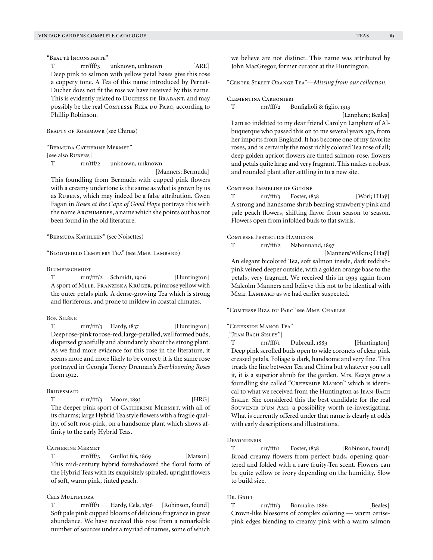"Beauté Inconstante"

T rrr/fff/3 unknown, unknown [ARE] Deep pink to salmon with yellow petal bases give this rose a coppery tone. A Tea of this name introduced by Pernet-Ducher does not fit the rose we have received by this name. This is evidently related to DUCHESS DE BRABANT, and may possibly be the real COMTESSE RIZA DU PARC, according to Phillip Robinson.

BEAUTY OF ROSEMAWR (see Chinas)

"Bermuda Catherine Mermet"

[see also RUBENS]

T rrr/fff/2 unknown, unknown

 [Manners; Bermuda] This foundling from Bermuda with cupped pink flowers with a creamy undertone is the same as what is grown by us as RUBENS, which may indeed be a false attribution. Gwen Fagan in *Roses at the Cape of Good Hope* portrays this with the name ARCHIMEDES, a name which she points out has not been found in the old literature.

"Bermuda Kathleen" (see Noisettes)

"Bloomfield Cemetery Tea" (see Mme. Lambard)

**BLUMENSCHMIDT** 

T rrr/fff/2 Schmidt, 1906 [Huntington] A sport of Mlle. Franziska Krüger, primrose yellow with the outer petals pink. A dense-growing Tea which is strong and floriferous, and prone to mildew in coastal climates.

#### Bon Silène

T rrrr/fff/3 Hardy, 1837 [Huntington] Deep rose-pink to rose-red, large-petalled, well formed buds, dispersed gracefully and abundantly about the strong plant. As we find more evidence for this rose in the literature, it seems more and more likely to be correct; it is the same rose portrayed in Georgia Torrey Drennan's *Everblooming Roses*  from 1912.

### **BRIDESMAID**

T rrr/fff/3 Moore, 1893 [HRG] The deeper pink sport of CATHERINE MERMET, with all of its charms; large Hybrid Tea style flowers with a fragile quality, of soft rose-pink, on a handsome plant which shows affinity to the early Hybrid Teas.

# CATHERINE MERMET

T rrr/fff/3 Guillot fils, 1869 [Matson] This mid-century hybrid foreshadowed the floral form of the Hybrid Teas with its exquisitely spiraled, upright flowers of soft, warm pink, tinted peach.

# Cels Multiflora

T rrr/fff/1 Hardy, Cels, 1836 [Robinson, found] Soft pale pink cupped blooms of delicious fragrance in great abundance. We have received this rose from a remarkable number of sources under a myriad of names, some of which "Center Street Orange Tea"—*Missing from our collection.*

#### Clementina Carbonieri

T rrr/fff/2 Bonfiglioli & figlio, 1913

 [Lanphere; Beales] I am so indebted to my dear friend Carolyn Lanphere of Albuquerque who passed this on to me several years ago, from her imports from England. It has become one of my favorite roses, and is certainly the most richly colored Tea rose of all; deep golden apricot flowers are tinted salmon-rose, flowers and petals quite large and very fragrant. This makes a robust and rounded plant after settling in to a new site.

#### Comtesse Emmeline de Guigné

T rrr/fff/3 Foster, 1838 [Worl; l'Haÿ] A strong and handsome shrub bearing strawberry pink and pale peach flowers, shifting flavor from season to season. Flowers open from infolded buds to flat swirls.

# Comtesse Festectics Hamilton

T rrr/fff/2 Nabonnand, 1897

[Manners/Wilkins; l'Haÿ]

An elegant bicolored Tea, soft salmon inside, dark reddishpink veined deeper outside, with a golden orange base to the petals; very fragrant. We received this in 1999 again from Malcolm Manners and believe this not to be identical with MME. LAMBARD as we had earlier suspected.

"Comtesse Riza du Parc" see Mme. Charles

# "Creekside Manor Tea"

["Jean Bach Sisley"]

T rrr/fff/1 Dubreuil, 1889 [Huntington] Deep pink scrolled buds open to wide coronets of clear pink creased petals. Foliage is dark, handsome and very fine. This treads the line between Tea and China but whatever you call it, it is a superior shrub for the garden. Mrs. Keays grew a foundling she called "CREEKSIDE MANOR" which is identical to what we received from the Huntington as Jean-Bach Sisley. She considered this the best candidate for the real SOUVENIR D'UN AMI, a possibility worth re-investigating. What is currently offered under that name is clearly at odds with early descriptions and illustrations.

### **DEVONIENSIS**

T rrr/fff/1 Foster, 1838 [Robinson, found] Broad creamy flowers from perfect buds, opening quartered and folded with a rare fruity-Tea scent. Flowers can be quite yellow or ivory depending on the humidity. Slow to build size.

# Dr. Grill

T rrr/fff/3 Bonnaire, 1886 [Beales] Crown-like blossoms of complex coloring — warm cerisepink edges blending to creamy pink with a warm salmon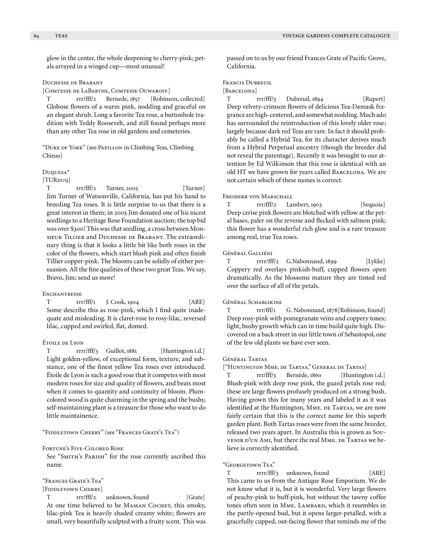glow in the center, the whole deepening to cherry-pink; petals arrayed in a winged cup—most unusual!

# Duchesse de Brabant

[COMTESSE DE LABARTHE, COMTESSE OUWAROFF]

T rrr/fff/2 Bernede, 1857 [Robinson, collected] Globose flowers of a warm pink, nodding and graceful on an elegant shrub. Long a favorite Tea rose, a buttonhole tradition with Teddy Roosevelt, and still found perhaps more than any other Tea rose in old gardens and cemeteries.

"Duke of York" (see Papillon in Climbing Teas, Climbing Chinas)

### Duquesa\*

[TUR<sub>DUQ</sub>]

T rrr/fff/2 Turner, 2005 [Turner] Jim Turner of Watsonville, California, has put his hand to breeding Tea roses. It is little surprise to us that there is a great interest in them; in 2005 Jim donated one of his nicest seedlings to a Heritage Rose Foundation auction; the top bid was over \$300! This was that seedling, a cross between Monsieur Tillier and Duchesse de Brabant. The extraordinary thing is that it looks a little bit like both roses in the color of the flowers, which start blush pink and often finish Tillier copper-pink. The blooms can be solidly of either persuasion. All the fine qualities of these two great Teas. We say, Bravo, Jim; send us more!

# **ENCHANTRESSE**

T rrr/fff/1 J. Cook, 1904 [ARE] Some describe this as rose-pink, which I find quite inadequate and misleading. It is claret-rose to rosy-lilac, reversed lilac, cupped and swirled, flat, domed.

# Étoile de Lyon

T rrrr/fff/3 Guillot, 1881 [Huntington i.d.] Light golden-yellow, of exceptional form, texture, and substance, one of the finest yellow Tea roses ever introduced. Étoile de Lyon is such a good rose that it competes with most modern roses for size and quality of flowers, and beats most when it comes to quantity and continuity of bloom. Plumcolored wood is quite charming in the spring and the bushy, self-maintaining plant is a treasure for those who want to do little maintainence.

#### "Fiddletown Cherry" (see "Frances Grate's Tea")

Fortune's Five-Colored Rose

See "SMITH's PARISH" for the rose currently ascribed this name.

"Frances Grate's Tea"

# [FIDDLETOWN CHERRY]

T rrr/fff/2 unknown, found [Grate] At one time believed to be MAMAN COCHET, this smoky, lilac-pink Tea is heavily shaded creamy white; flowers are small, very beautifully sculpted with a fruity scent. This was passed on to us by our friend Frances Grate of Pacific Grove, California.

# Francis Dubreuil

# [BARCELONA]

T rrr/fff/3 Dubreuil, 1894 [Rupert] Deep velvety-crimson flowers of delicious Tea-Damask fragrance are high-centered, and somewhat nodding. Much ado has surrounded the reintroduction of this lovely older rose; largely because dark red Teas are rare. In fact it should probably be called a Hybrid Tea, for its character derives much from a Hybrid Perpetual ancestry (though the breeder did not reveal the parentage). Recently it was brought to our attention by Ed Wilkinson that this rose is identical with an old HT we have grown for years called BARCELONA. We are not certain which of these names is correct.

# FREIHERR VON MARSCHALL

T rrr/fff/2 Lambert, 1903 [Sequoia] Deep cerise pink flowers are blotched with yellow at the petal bases, paler on the reverse and flecked with salmon pink; this flower has a wonderful rich glow and is a rare treasure among real, true Tea roses.

#### Général Galliéni

T rrrr/fff/2 G.Nabonnand, 1899 [Lykke] Coppery red overlays pinkish-buff, cupped flowers open dramatically. As the blossoms mature they are tinted red over the surface of all of the petals.

### Général Schablikine

T rrr/fff/1 G. Nabonnand, 1878[Robinson, found] Deep rosy-pink with pomegranate veins and coppery tones; light, bushy growth which can in time build quite high. Discovered on a back street in our little town of Sebastopol, one of the few old plants we have ever seen.

# Général Tartas

["Huntington Mme. de Tartas," General de Tartas]

T rrr/fff/3 Bernède, 1860 [Huntington i.d.] Blush-pink with deep rose pink, the guard petals rose red; these are large flowers profusely produced on a strong bush. Having grown this for many years and labeled it as it was identified at the Huntington, MME. DE TARTAS, we are now fairly certain that this is the correct name for this superb garden plant. Both Tartas roses were from the same breeder, released two years apart. In Australia this is grown as Souvenir d'un Ami, but there the real Mme. De Tartas we believe is correctly identified.

# "Georgetown Tea"

T rrrr/fff/3 unknown, found [ARE] This came to us from the Antique Rose Emporium. We do not know what it is, but it is wonderful. Very large flowers of peachy-pink to buff-pink, but without the tawny coffee tones often seen in MME. LAMBARD, which it resembles in the partly-opened bud, but it opens larger-petalled, with a gracefully cupped, out-facing flower that reminds me of the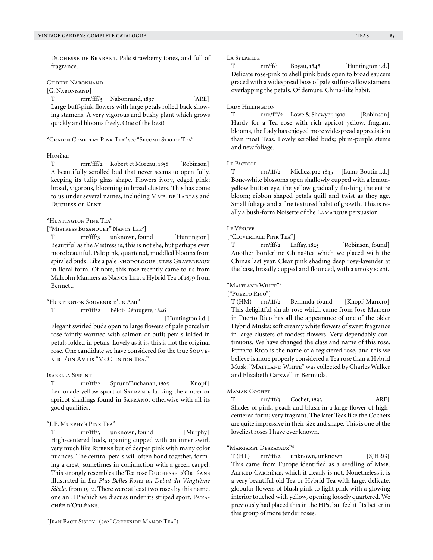Duchesse de Brabant. Pale strawberry tones, and full of

Gilbert Nabonnand

fragrance.

[G. NABONNAND]

T rrrr/fff/3 Nabonnand, 1897 [ARE] Large buff-pink flowers with large petals rolled back showing stamens. A very vigorous and bushy plant which grows quickly and blooms freely. One of the best!

"Graton Cemetery Pink Tea" see "Second Street Tea"

# Homère

T rrrr/fff/2 Robert et Moreau, 1858 [Robinson] A beautifully scrolled bud that never seems to open fully, keeping its tulip glass shape. Flowers ivory, edged pink; broad, vigorous, blooming in broad clusters. This has come to us under several names, including MME. DE TARTAS and Duchess of Kent.

"Huntington Pink Tea"

["Mistress Bosanquet," Nancy Lee?]

T rrr/fff/3 unknown, found [Huntington] Beautiful as the Mistress is, this is not she, but perhaps even more beautiful. Pale pink, quartered, muddled blooms from spiraled buds. Like a pale RHODOLOGUE JULES GRAVEREAUX in floral form. Of note, this rose recently came to us from Malcolm Manners as Nancy Lee, a Hybrid Tea of 1879 from Bennett.

"Huntington Souvenir d'un Ami"

T rrr/fff/2 Bélot-Défougère, 1846

[Huntington i.d.]

Elegant swirled buds open to large flowers of pale porcelain rose faintly warmed with salmon or buff; petals folded in petals folded in petals. Lovely as it is, this is not the original rose. One candidate we have considered for the true Souvenir d'un Ami is "McClinton Tea."

# Isabella Sprunt

T rrr/fff/2 Sprunt/Buchanan, 1865 [Knopf] Lemonade-yellow sport of Safrano, lacking the amber or apricot shadings found in SAFRANO, otherwise with all its good qualities.

# "J. E. Murphy's Pink Tea"

T rrr/fff/3 unknown, found [Murphy] High-centered buds, opening cupped with an inner swirl, very much like RUBENS but of deeper pink with many color nuances. The central petals will often bond together, forming a crest, sometimes in conjunction with a green carpel. This strongly resembles the Tea rose DUCHESSE D'ORLÉANS illustrated in *Les Plus Belles Roses au Debut du Vingtième Siècle,* from 1912. There were at least two roses by this name, one an HP which we discuss under its striped sport, Panachée d'Orléans.

# La Sylphide

T rrr/ff/1 Boyau, 1848 [Huntington i.d.] Delicate rose-pink to shell pink buds open to broad saucers graced with a widespread boss of pale sulfur-yellow stamens overlapping the petals. Of demure, China-like habit.

# Lady Hillingdon

T rrrr/fff/2 Lowe & Shawyer, 1910 [Robinson] Hardy for a Tea rose with rich apricot yellow, fragrant blooms, the Lady has enjoyed more widespread appreciation than most Teas. Lovely scrolled buds; plum-purple stems and new foliage.

# Le Pactole

T rrr/fff/2 Miellez, pre-1845 [Luhn; Boutin i.d.] Bone-white blossoms open shallowly cupped with a lemonyellow button eye, the yellow gradually flushing the entire bloom; ribbon shaped petals quill and twist as they age. Small foliage and a fine textured habit of growth. This is really a bush-form Noisette of the Lamarque persuasion.

# Le Vésuve

["Cloverdale Pink Tea"]

T rrr/fff/2 Laffay, 1825 [Robinson, found] Another borderline China-Tea which we placed with the Chinas last year. Clear pink shading deep rosy-lavender at the base, broadly cupped and flounced, with a smoky scent.

# "Maitland White"\*

["Puerto Rico"]

T (HM) rrr/fff/2 Bermuda, found [Knopf; Marrero] This delightful shrub rose which came from Jose Marrero in Puerto Rico has all the appearance of one of the older Hybrid Musks; soft creamy white flowers of sweet fragrance in large clusters of modest flowers. Very dependably continuous. We have changed the class and name of this rose. PUERTO RICO is the name of a registered rose, and this we believe is more properly considered a Tea rose than a Hybrid Musk. "Maitland White" was collected by Charles Walker and Elizabeth Carswell in Bermuda.

# MAMAN COCHET

T rrr/fff/3 Cochet, 1893 [ARE] Shades of pink, peach and blush in a large flower of highcentered form; very fragrant. The later Teas like the Cochets are quite impressive in their size and shape. This is one of the loveliest roses I have ever known.

# "Margaret Desrayaux"\*

T (HT) rrr/fff/2 unknown, unknown [SJHRG] This came from Europe identified as a seedling of Mme. Alfred Carrière, which it clearly is not. Nonetheless it is a very beautiful old Tea or Hybrid Tea with large, delicate, globular flowers of blush pink to light pink with a glowing interior touched with yellow, opening loosely quartered. We previously had placed this in the HPs, but feel it fits better in this group of more tender roses.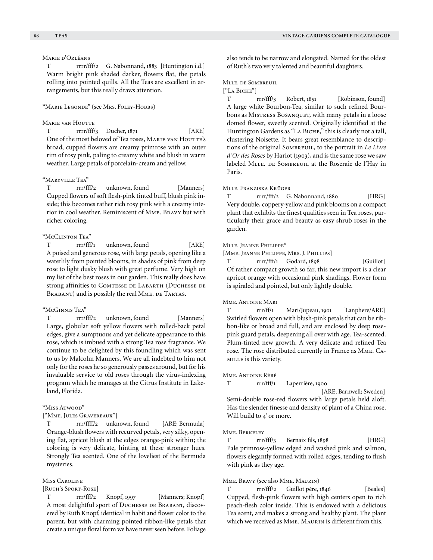# Marie d'Orléans

T rrrr/fff/2 G. Nabonnand, 1883 [Huntington i.d.] Warm bright pink shaded darker, flowers flat, the petals rolling into pointed quills. All the Teas are excellent in arrangements, but this really draws attention.

# "Marie Legonde" (see Mrs. Foley-Hobbs)

### **MARIE VAN HOUTTE**

T rrrr/fff/3 Ducher, 1871 [ARE] One of the most beloved of Tea roses, MARIE VAN HOUTTE's broad, cupped flowers are creamy primrose with an outer rim of rosy pink, paling to creamy white and blush in warm weather. Large petals of porcelain-cream and yellow.

# "Maryville Tea"

T rrr/fff/2 unknown, found [Manners] Cupped flowers of soft flesh-pink tinted buff, blush pink inside; this becomes rather rich rosy pink with a creamy interior in cool weather. Reminiscent of Mme. Bravy but with richer coloring.

# "McClinton Tea"

T rrr/fff/1 unknown, found [ARE] A poised and generous rose, with large petals, opening like a waterlily from pointed blooms, in shades of pink from deep rose to light dusky blush with great perfume. Very high on my list of the best roses in our garden. This really does have strong affinities to Comtesse de Labarth (Duchesse de BRABANT) and is possibly the real MME. DE TARTAS.

#### "McGinnis Tea"

T rrr/fff/2 unknown, found [Manners] Large, globular soft yellow flowers with rolled-back petal edges, give a sumptuous and yet delicate appearance to this rose, which is imbued with a strong Tea rose fragrance. We continue to be delighted by this foundling which was sent to us by Malcolm Manners. We are all indebted to him not only for the roses he so generously passes around, but for his invaluable service to old roses through the virus-indexing program which he manages at the Citrus Institute in Lakeland, Florida.

### "Miss Atwood"

["Mme. Jules Gravereaux"]

T rrr/ffff/2 unknown, found [ARE; Bermuda] Orange-blush flowers with recurved petals, very silky, opening flat, apricot blush at the edges orange-pink within; the coloring is very delicate, hinting at these stronger hues. Strongly Tea scented. One of the loveliest of the Bermuda mysteries.

# Miss Caroline

[Ruth's Sport-Rose]

T rrr/fff/2 Knopf, 1997 [Manners; Knopf] A most delightful sport of Duchesse de Brabant, discovered by Ruth Knopf, identical in habit and flower color to the parent, but with charming pointed ribbon-like petals that create a unique floral form we have never seen before. Foliage

also tends to be narrow and elongated. Named for the oldest of Ruth's two very talented and beautiful daughters.

# Mlle. de Sombreuil

["La Biche"]

T rrr/fff/3 Robert, 1851 [Robinson, found] A large white Bourbon-Tea, similar to such refined Bourbons as MISTRESS BOSANQUET, with many petals in a loose domed flower, sweetly scented. Originally identified at the Huntington Gardens as "LA ВIСНЕ," this is clearly not a tall, clustering Noisette. It bears great resemblance to descriptions of the original Sombreuil, to the portrait in *Le Livre d'Or des Roses* by Hariot (1903), and is the same rose we saw labeled MLLE. DE SOMBREUIL at the Roseraie de l'Haÿ in Paris.

#### Mlle. Franziska Krüger

T rrrr/fff/2 G. Nabonnand, 1880 [HRG] Very double, coppery-yellow and pink blooms on a compact plant that exhibits the finest qualities seen in Tea roses, particularly their grace and beauty as easy shrub roses in the garden.

# Mlle. Jeanne Philippe\*

[Mme. Jeanne Philippe, Mrs. J. Phillips]

T rrr/fff/1 Godard, 1898 [Guillot] Of rather compact growth so far, this new import is a clear apricot orange with occasional pink shadings. Flower form is spiraled and pointed, but only lightly double.

# Mme. Antoine Mari

T rrr/ff/1 Mari/Jupeau, 1901 [Lanphere/ARE] Swirled flowers open with blush-pink petals that can be ribbon-like or broad and full, and are enclosed by deep rosepink guard petals, deepening all over with age. Tea-scented. Plum-tinted new growth. A very delicate and refined Tea rose. The rose distributed currently in France as Mme. Camille is this variety.

#### Mme. Antoine Rébé

T rrr/fff/1 Laperrière, 1900

 [ARE; Barnwell; Sweden] Semi-double rose-red flowers with large petals held aloft. Has the slender finesse and density of plant of a China rose. Will build to 4' or more.

#### Mme. Berkeley

T rrr/fff/3 Bernaix fils, 1898 [HRG] Pale primrose-yellow edged and washed pink and salmon, flowers elegantly formed with rolled edges, tending to flush with pink as they age.

### Mme. Bravy (see also Mme. Maurin)

T rrr/fff/2 Guillot père, 1846 [Beales] Cupped, flesh-pink flowers with high centers open to rich peach-flesh color inside. This is endowed with a delicious Tea scent, and makes a strong and healthy plant. The plant which we received as Mme. Maurin is different from this.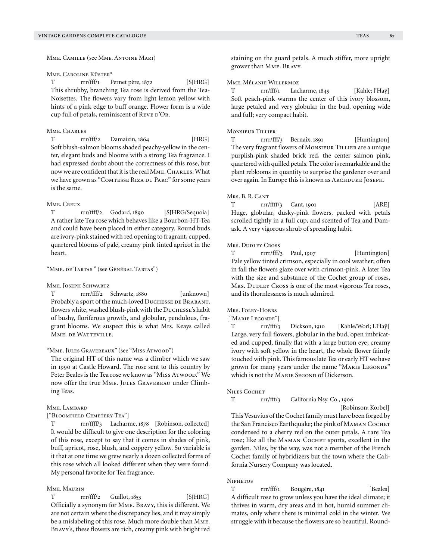Mme. Camille (see Mme. Antoine Mari)

#### Mme. Caroline Küster\*

T rrr/fff/1 Pernet père, 1872 [SJHRG] This shrubby, branching Tea rose is derived from the Tea-Noisettes. The flowers vary from light lemon yellow with hints of a pink edge to buff orange. Flower form is a wide cup full of petals, reminiscent of REVE D'OR.

#### MME. CHARLES

T rrr/fff/2 Damaizin, 1864 [HRG] Soft blush-salmon blooms shaded peachy-yellow in the center, elegant buds and blooms with a strong Tea fragrance. I had expressed doubt about the correctness of this rose, but now we are confident that it is the real MME. CHARLES. What we have grown as "COMTESSE RIZA DU PARC" for some years is the same.

### Mme. Creux

T rrr/ffff/2 Godard, 1890 [SJHRG/Sequoia] A rather late Tea rose which behaves like a Bourbon-HT-Tea and could have been placed in either category. Round buds are ivory-pink stained with red opening to fragrant, cupped, quartered blooms of pale, creamy pink tinted apricot in the heart.

### "Mme. de Tartas " (see Général Tartas")

#### MME. JOSEPH SCHWARTZ

T rrrr/fff/2 Schwartz, 1880 [unknown] Probably a sport of the much-loved DUCHESSE DE BRABANT, flowers white, washed blush-pink with the Duchesse's habit of bushy, floriferous growth, and globular, pendulous, fragrant blooms. We suspect this is what Mrs. Keays called MME. DE WATTEVILLE.

# "Mme. Jules Gravereaux" (see "Miss Atwood")

The original HT of this name was a climber which we saw in 1990 at Castle Howard. The rose sent to this country by Peter Beales is the Tea rose we know as "Miss Arwoop." We now offer the true MME. JULES GRAVEREAU under Climbing Teas.

#### Mme. Lambard

["Bloomfield Cemetery Tea"]

T rrr/ffff/3 Lacharme, 1878 [Robinson, collected] It would be difficult to give one description for the coloring of this rose, except to say that it comes in shades of pink, buff, apricot, rose, blush, and coppery yellow. So variable is it that at one time we grew nearly a dozen collected forms of this rose which all looked different when they were found. My personal favorite for Tea fragrance.

## Mme. Maurin

 $T$  rrr/fff/2 Guillot, 1853 [SJHRG] Officially a synonym for Mme. Bravy, this is different. We are not certain where the discrepancy lies, and it may simply be a mislabeling of this rose. Much more double than Mme. Bravy's, these flowers are rich, creamy pink with bright red staining on the guard petals. A much stiffer, more upright grower than Mme. Bravy.

# Mme. Mélanie Willermoz

T rrr/fff/1 Lacharme, 1849 [Kahle; l'Haÿ] Soft peach-pink warms the center of this ivory blossom, large petaled and very globular in the bud, opening wide and full; very compact habit.

### Monsieur Tillier

T rrrr/fff/3 Bernaix, 1891 [Huntington] The very fragrant flowers of Monsieur Tillier are a unique purplish-pink shaded brick red, the center salmon pink, quartered with quilled petals. The color is remarkable and the plant reblooms in quantity to surprise the gardener over and over again. In Europe this is known as ARCHDUKE JOSEPH.

### Mrs. B. R. Cant

T rrr/ffff/3 Cant, 1901 [ARE] Huge, globular, dusky-pink flowers, packed with petals scrolled tightly in a full cup, and scented of Tea and Damask. A very vigorous shrub of spreading habit.

# Mrs. Dudley Cross

T rrrr/fff/3 Paul, 1907 [Huntington] Pale yellow tinted crimson, especially in cool weather; often in fall the flowers glaze over with crimson-pink. A later Tea with the size and substance of the Cochet group of roses, Mrs. DUDLEY Cross is one of the most vigorous Tea roses, and its thornlessness is much admired.

### Mrs. Foley-Hobbs

#### ["Marie Legonde"]

T rrr/fff/3 Dickson, 1910 [Kahle/Worl; L'Haÿ] Large, very full flowers, globular in the bud, open imbricated and cupped, finally flat with a large button eye; creamy ivory with soft yellow in the heart, the whole flower faintly touched with pink. This famous late Tea or early HT we have grown for many years under the name "MARIE LEGONDE" which is not the MARIE SEGOND of Dickerson.

#### NILES COCHET

#### T rrr/fff/3 California Nsy. Co., 1906

[Robinson; Korbel]

This Vesuvius of the Cochet family must have been forged by the San Francisco Earthquake; the pink of Маман Соснет condensed to a cherry red on the outer petals. A rare Tea rose; like all the Маман Соснет sports, excellent in the garden. Niles, by the way, was not a member of the French Cochet family of hybridizers but the town where the California Nursery Company was located.

#### Niphetos

T rrr/fff/1 Bougère, 1841 [Beales] A difficult rose to grow unless you have the ideal climate; it thrives in warm, dry areas and in hot, humid summer climates, only where there is minimal cold in the winter. We struggle with it because the flowers are so beautiful. Round-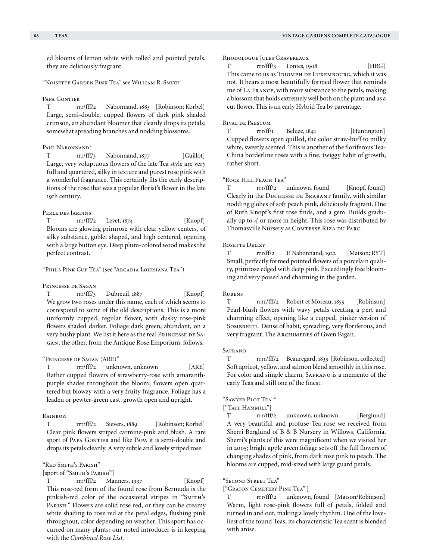ed blooms of lemon white with rolled and pointed petals, they are deliciously fragrant.

"Noisette Garden Pink Tea" see William R. Smith

#### PAPA GONTIER

T rrr/fff/2 Nabonnand, 1883 [Robinson; Korbel] Large, semi-double, cupped flowers of dark pink shaded crimson, an abundant bloomer that cleanly drops its petals; somewhat spreading branches and nodding blossoms.

# Paul Nabonnand<sup>\*</sup>

T rrr/fff/3 Nabonnand, 1877 [Guillot] Large, very voluptuous flowers of the late Tea style are very full and quartered, silky in texture and purest rose pink with a wonderful fragrance. This certainly fits the early descriptions of the rose that was a popular florist's flower in the late 19th century.

## Perle des Jardins

 $T$  rrr/fff/2 Levet,  $1874$  [Knopf] Blooms are glowing primrose with clear yellow centers, of silky substance, goblet shaped, and high centered, opening with a large button eye. Deep plum-colored wood makes the perfect contrast.

"Phil's Pink Cup Tea" (see "Arcadia Louisiana Tea")

### Princesse de Sagan

T rrr/fff/3 Dubreuil, 1887 [Knopf] We grow two roses under this name, each of which seems to correspond to some of the old descriptions. This is a more uniformly cupped, regular flower, with dusky rose-pink flowers shaded darker. Foliage dark green, abundant, on a very bushy plant. We list it here as the real PRINCESSE DE SAgan; the other, from the Antique Rose Emporium, follows.

# "Princesse de Sagan (ARE)"

T rrr/fff/2 unknown, unknown [ARE] Rather cupped flowers of strawberry-rose with amaranthpurple shades throughout the bloom; flowers open quartered but blowzy with a very fruity fragrance. Foliage has a leaden or pewter-green cast; growth open and upright.

#### Rainbow

T rrr/fff/2 Sievers, 1889 [Robinson; Korbel] Clear pink flowers striped carmine-pink and blush. A rare sport of PAPA GONTIER and like PAPA it is semi-double and drops its petals cleanly. A very subtle and lovely striped rose.

"Red Smith's Parish"

[sport of "SMITH's PARISH"]

T rrr/fff/2 Manners, 1997 [Knopf] This rose-red form of the found rose from Bermuda is the pinkish-red color of the occasional stripes in "SMITH's PARISH." Flowers are solid rose red, or they can be creamy white shading to rose red at the petal edges, flushing pink throughout, color depending on weather. This sport has occurred on many plants; our noted introducer is in keeping with the *Combined Rose List.*

Rhodologue Jules Gravereaux

T rr/fff/3 Fontes, 1908 [HRG] This came to us as TRIOMPH DE LUXEMBOURG, which it was not. It bears a most beautifully formed flower that reminds me of La France, with more substance to the petals, making a blossom that holds extremely well both on the plant and as a cut flower. This is an early Hybrid Tea by parentage.

#### Rival de Paestum

T rrr/ff/1 Beluze, 1841 [Huntington] Cupped flowers open quilled, the color straw-buff to milky white, sweetly scented. This is another of the floriferous Tea-China borderline roses with a fine, twiggy habit of growth, rather short.

# "Rock Hill Peach Tea"

T rrr/fff/2 unknown, found [Knopf, found] Clearly in the Duchesse de Brabant family, with similar nodding globes of soft peach pink, deliciously fragrant. One of Ruth Knopf's first rose finds, and a gem. Builds gradually up to 4' or more in height. This rose was distributed by Thomasville Nursery as COMTESSE RIZA DU PARC.

### Rosette Delizy

T rrr/ff/2 P. Nabonnand, 1922 [Matson; RYT] Small, perfectly formed pointed flowers of a porcelain quality, primrose edged with deep pink. Exceedingly free blooming and very poised and charming in the garden.

# **RUBENS**

T rrrr/fff/2 Robert et Moreau, 1859 [Robinson] Pearl-blush flowers with wavy petals creating a pert and charming effect, opening like a cupped, pinker version of SOMBREUIL. Dense of habit, spreading, very floriferous, and very fragrant. The ARCHIMEDES of Gwen Fagan.

# **SAFRANO**

T rrrr/fff/2 Beauregard, 1839 [Robinson, collected] Soft apricot, yellow, and salmon blend smoothly in this rose. For color and simple charm, SAFRANO is a memento of the early Teas and still one of the finest.

### "Sawyer Plot Tea"\*

["Tall Hammill"]

T rrr/fff/2 unknown, unknown [Berglund] A very beautiful and profuse Tea rose we received from Sherri Berglund of B & B Nursery in Willows, California. Sherri's plants of this were magnificent when we visited her in 2005; bright apple green foliage sets off the full flowers of changing shades of pink, from dark rose pink to peach. The blooms are cupped, mid-sized with large guard petals.

# "Second Street Tea"

["Graton Cemetery Pink Tea" ]

T rrr/fff/2 unknown, found [Matson/Robinson] Warm, light rose-pink flowers full of petals, folded and turned in and out, making a lovely rhythm. One of the loveliest of the found Teas, its characteristic Tea scent is blended with anise.